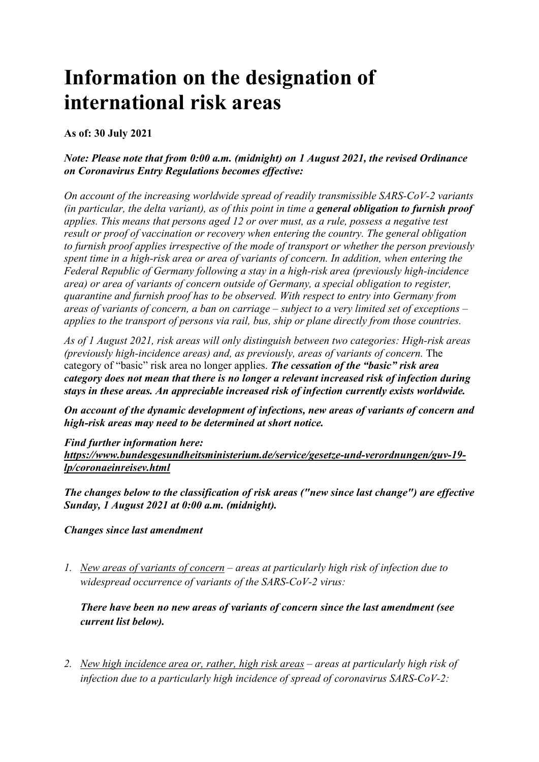# **Information on the designation of international risk areas**

**As of: 30 July 2021**

#### *Note: Please note that from 0:00 a.m. (midnight) on 1 August 2021, the revised Ordinance on Coronavirus Entry Regulations becomes effective:*

*On account of the increasing worldwide spread of readily transmissible SARS-CoV-2 variants (in particular, the delta variant), as of this point in time a general obligation to furnish proof applies. This means that persons aged 12 or over must, as a rule, possess a negative test result or proof of vaccination or recovery when entering the country. The general obligation to furnish proof applies irrespective of the mode of transport or whether the person previously spent time in a high-risk area or area of variants of concern. In addition, when entering the Federal Republic of Germany following a stay in a high-risk area (previously high-incidence area) or area of variants of concern outside of Germany, a special obligation to register, quarantine and furnish proof has to be observed. With respect to entry into Germany from areas of variants of concern, a ban on carriage – subject to a very limited set of exceptions – applies to the transport of persons via rail, bus, ship or plane directly from those countries.* 

*As of 1 August 2021, risk areas will only distinguish between two categories: High-risk areas (previously high-incidence areas) and, as previously, areas of variants of concern.* The category of "basic" risk area no longer applies. *The cessation of the "basic" risk area category does not mean that there is no longer a relevant increased risk of infection during stays in these areas. An appreciable increased risk of infection currently exists worldwide.* 

*On account of the dynamic development of infections, new areas of variants of concern and high-risk areas may need to be determined at short notice.*

*Find further information here: https://www.bundesgesundheitsministerium.de/service/gesetze-und-verordnungen/guv-19 lp/coronaeinreisev.html*

*The changes below to the classification of risk areas ("new since last change") are effective Sunday, 1 August 2021 at 0:00 a.m. (midnight).*

*Changes since last amendment* 

*1. New areas of variants of concern – areas at particularly high risk of infection due to widespread occurrence of variants of the SARS-CoV-2 virus:*

*There have been no new areas of variants of concern since the last amendment (see current list below).*

*2. New high incidence area or, rather, high risk areas – areas at particularly high risk of infection due to a particularly high incidence of spread of coronavirus SARS-CoV-2:*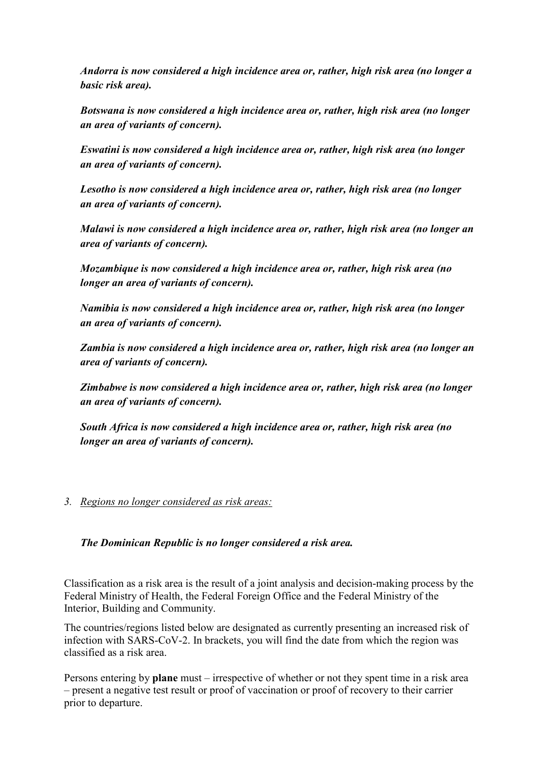*Andorra is now considered a high incidence area or, rather, high risk area (no longer a basic risk area).*

*Botswana is now considered a high incidence area or, rather, high risk area (no longer an area of variants of concern).*

*Eswatini is now considered a high incidence area or, rather, high risk area (no longer an area of variants of concern).*

*Lesotho is now considered a high incidence area or, rather, high risk area (no longer an area of variants of concern).*

*Malawi is now considered a high incidence area or, rather, high risk area (no longer an area of variants of concern).*

*Mozambique is now considered a high incidence area or, rather, high risk area (no longer an area of variants of concern).*

*Namibia is now considered a high incidence area or, rather, high risk area (no longer an area of variants of concern).*

*Zambia is now considered a high incidence area or, rather, high risk area (no longer an area of variants of concern).*

*Zimbabwe is now considered a high incidence area or, rather, high risk area (no longer an area of variants of concern).*

*South Africa is now considered a high incidence area or, rather, high risk area (no longer an area of variants of concern).*

#### *3. Regions no longer considered as risk areas:*

#### *The Dominican Republic is no longer considered a risk area.*

Classification as a risk area is the result of a joint analysis and decision-making process by the Federal Ministry of Health, the Federal Foreign Office and the Federal Ministry of the Interior, Building and Community.

The countries/regions listed below are designated as currently presenting an increased risk of infection with SARS-CoV-2. In brackets, you will find the date from which the region was classified as a risk area.

Persons entering by **plane** must – irrespective of whether or not they spent time in a risk area – present a negative test result or proof of vaccination or proof of recovery to their carrier prior to departure.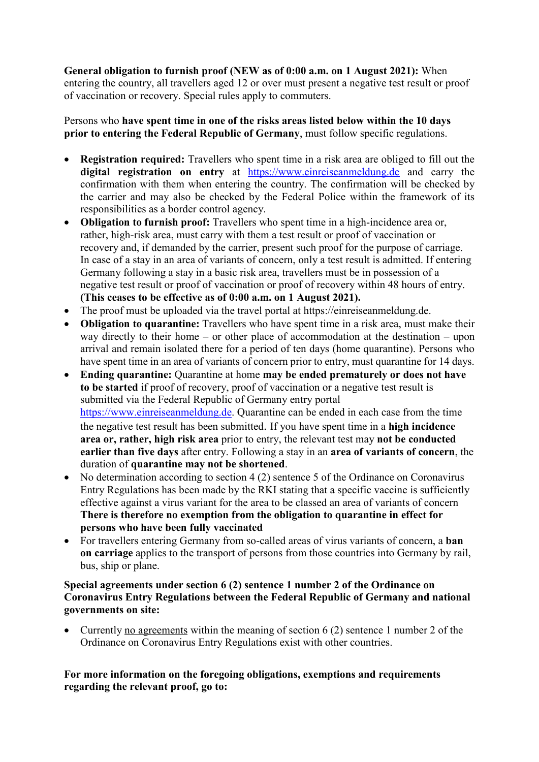**General obligation to furnish proof (NEW as of 0:00 a.m. on 1 August 2021):** When entering the country, all travellers aged 12 or over must present a negative test result or proof of vaccination or recovery. Special rules apply to commuters.

Persons who **have spent time in one of the risks areas listed below within the 10 days prior to entering the Federal Republic of Germany**, must follow specific regulations.

- **Registration required:** Travellers who spent time in a risk area are obliged to fill out the **digital registration on entry** at [https://www.einreiseanmeldung.de](https://www.einreiseanmeldung.de/) and carry the confirmation with them when entering the country. The confirmation will be checked by the carrier and may also be checked by the Federal Police within the framework of its responsibilities as a border control agency.
- **Obligation to furnish proof:** Travellers who spent time in a high-incidence area or, rather, high-risk area, must carry with them a test result or proof of vaccination or recovery and, if demanded by the carrier, present such proof for the purpose of carriage. In case of a stay in an area of variants of concern, only a test result is admitted. If entering Germany following a stay in a basic risk area, travellers must be in possession of a negative test result or proof of vaccination or proof of recovery within 48 hours of entry. **(This ceases to be effective as of 0:00 a.m. on 1 August 2021).**
- The proof must be uploaded via the travel portal at [https://einreiseanmeldung.de.](https://einreiseanmeldung.de/#https://einreiseanmeldung.de/)
- **Obligation to quarantine:** Travellers who have spent time in a risk area, must make their way directly to their home – or other place of accommodation at the destination – upon arrival and remain isolated there for a period of ten days (home quarantine). Persons who have spent time in an area of variants of concern prior to entry, must quarantine for 14 days.
- **Ending quarantine:** Quarantine at home **may be ended prematurely or does not have to be started** if proof of recovery, proof of vaccination or a negative test result is submitted via the Federal Republic of Germany entry portal [https://www.einreiseanmeldung.de.](https://www.einreiseanmeldung.de/#/) Quarantine can be ended in each case from the time the negative test result has been submitted. If you have spent time in a **high incidence area or, rather, high risk area** prior to entry, the relevant test may **not be conducted earlier than five days** after entry. Following a stay in an **area of variants of concern**, the duration of **quarantine may not be shortened**.
- No determination according to section 4 (2) sentence 5 of the Ordinance on Coronavirus Entry Regulations has been made by the RKI stating that a specific vaccine is sufficiently effective against a virus variant for the area to be classed an area of variants of concern **There is therefore no exemption from the obligation to quarantine in effect for persons who have been fully vaccinated**
- For travellers entering Germany from so-called areas of virus variants of concern, a **ban on carriage** applies to the transport of persons from those countries into Germany by rail, bus, ship or plane.

#### **Special agreements under section 6 (2) sentence 1 number 2 of the Ordinance on Coronavirus Entry Regulations between the Federal Republic of Germany and national governments on site:**

• Currently no agreements within the meaning of section 6 (2) sentence 1 number 2 of the Ordinance on Coronavirus Entry Regulations exist with other countries.

#### **For more information on the foregoing obligations, exemptions and requirements regarding the relevant proof, go to:**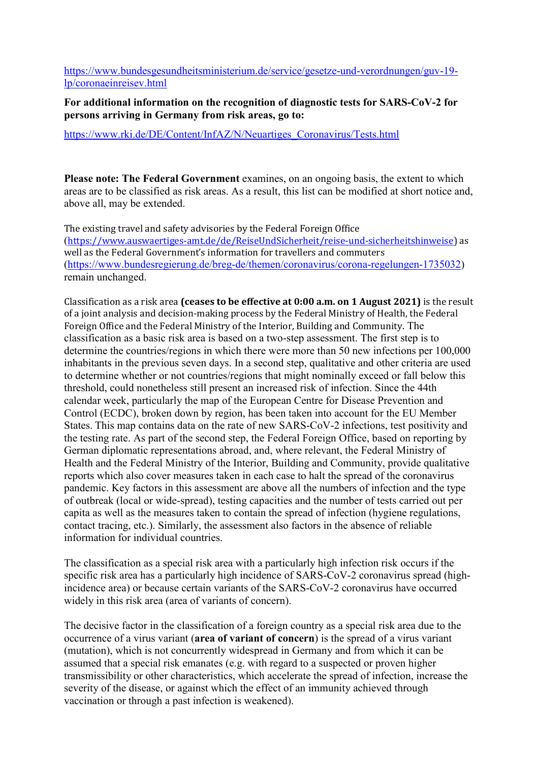[https://www.bundesgesundheitsministerium.de/service/gesetze-und-verordnungen/guv-19](https://www.bundesgesundheitsministerium.de/service/gesetze-und-verordnungen/guv-19-lp/coronaeinreisev.html) [lp/coronaeinreisev.html](https://www.bundesgesundheitsministerium.de/service/gesetze-und-verordnungen/guv-19-lp/coronaeinreisev.html)

**For additional information on the recognition of diagnostic tests for SARS-CoV-2 for persons arriving in Germany from risk areas, go to:**

[https://www.rki.de/DE/Content/InfAZ/N/Neuartiges\\_Coronavirus/Tests.html](https://www.rki.de/DE/Content/InfAZ/N/Neuartiges_Coronavirus/Tests.html)

**Please note: The Federal Government** examines, on an ongoing basis, the extent to which areas are to be classified as risk areas. As a result, this list can be modified at short notice and, above all, may be extended.

The existing travel and safety advisories by the Federal Foreign Office (https://www.auswaertiges-amt.de/de/ReiseUndSicherheit/reise-und-sicherheitshinweise) as well as the Federal Government's information for travellers and commuters (https://www.bundesregierung.de/breg-de/themen/coronavirus/corona-regelungen-1735032) remain unchanged.

Classification as a risk area **(ceases to be effective at 0:00 a.m. on 1 August 2021)** is the result of a joint analysis and decision-making process by the Federal Ministry of Health, the Federal Foreign Office and the Federal Ministry of the Interior, Building and Community. The classification as a basic risk area is based on a two-step assessment. The first step is to determine the countries/regions in which there were more than 50 new infections per 100,000 inhabitants in the previous seven days. In a second step, qualitative and other criteria are used to determine whether or not countries/regions that might nominally exceed or fall below this threshold, could nonetheless still present an increased risk of infection. Since the 44th calendar week, particularly the map of the European Centre for Disease Prevention and Control (ECDC), broken down by region, has been taken into account for the EU Member States. This map contains data on the rate of new SARS-CoV-2 infections, test positivity and the testing rate. As part of the second step, the Federal Foreign Office, based on reporting by German diplomatic representations abroad, and, where relevant, the Federal Ministry of Health and the Federal Ministry of the Interior, Building and Community, provide qualitative reports which also cover measures taken in each case to halt the spread of the coronavirus pandemic. Key factors in this assessment are above all the numbers of infection and the type of outbreak (local or wide-spread), testing capacities and the number of tests carried out per capita as well as the measures taken to contain the spread of infection (hygiene regulations, contact tracing, etc.). Similarly, the assessment also factors in the absence of reliable information for individual countries.

The classification as a special risk area with a particularly high infection risk occurs if the specific risk area has a particularly high incidence of SARS-CoV-2 coronavirus spread (highincidence area) or because certain variants of the SARS-CoV-2 coronavirus have occurred widely in this risk area (area of variants of concern).

The decisive factor in the classification of a foreign country as a special risk area due to the occurrence of a virus variant (**area of variant of concern**) is the spread of a virus variant (mutation), which is not concurrently widespread in Germany and from which it can be assumed that a special risk emanates (e.g. with regard to a suspected or proven higher transmissibility or other characteristics, which accelerate the spread of infection, increase the severity of the disease, or against which the effect of an immunity achieved through vaccination or through a past infection is weakened).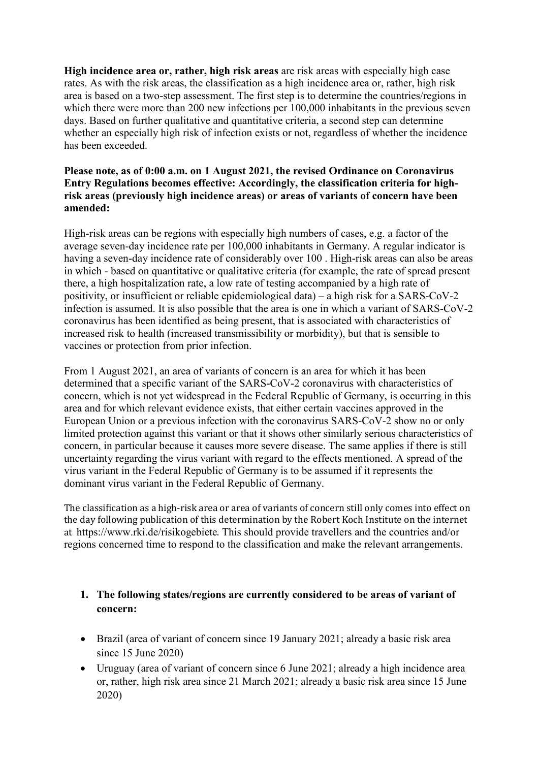**High incidence area or, rather, high risk areas** are risk areas with especially high case rates. As with the risk areas, the classification as a high incidence area or, rather, high risk area is based on a two-step assessment. The first step is to determine the countries/regions in which there were more than 200 new infections per 100,000 inhabitants in the previous seven days. Based on further qualitative and quantitative criteria, a second step can determine whether an especially high risk of infection exists or not, regardless of whether the incidence has been exceeded.

#### **Please note, as of 0:00 a.m. on 1 August 2021, the revised Ordinance on Coronavirus Entry Regulations becomes effective: Accordingly, the classification criteria for highrisk areas (previously high incidence areas) or areas of variants of concern have been amended:**

High-risk areas can be regions with especially high numbers of cases, e.g. a factor of the average seven-day incidence rate per 100,000 inhabitants in Germany. A regular indicator is having a seven-day incidence rate of considerably over 100 . High-risk areas can also be areas in which - based on quantitative or qualitative criteria (for example, the rate of spread present there, a high hospitalization rate, a low rate of testing accompanied by a high rate of positivity, or insufficient or reliable epidemiological data) – a high risk for a SARS-CoV-2 infection is assumed. It is also possible that the area is one in which a variant of SARS-CoV-2 coronavirus has been identified as being present, that is associated with characteristics of increased risk to health (increased transmissibility or morbidity), but that is sensible to vaccines or protection from prior infection.

From 1 August 2021, an area of variants of concern is an area for which it has been determined that a specific variant of the SARS-CoV-2 coronavirus with characteristics of concern, which is not yet widespread in the Federal Republic of Germany, is occurring in this area and for which relevant evidence exists, that either certain vaccines approved in the European Union or a previous infection with the coronavirus SARS-CoV-2 show no or only limited protection against this variant or that it shows other similarly serious characteristics of concern, in particular because it causes more severe disease. The same applies if there is still uncertainty regarding the virus variant with regard to the effects mentioned. A spread of the virus variant in the Federal Republic of Germany is to be assumed if it represents the dominant virus variant in the Federal Republic of Germany.

The classification as a high-risk area or area of variants of concern still only comes into effect on the day following publication of this determination by the Robert Koch Institute on the internet at <https://www.rki.de/risikogebiete>. This should provide travellers and the countries and/or regions concerned time to respond to the classification and make the relevant arrangements.

### **1. The following states/regions are currently considered to be areas of variant of concern:**

- Brazil (area of variant of concern since 19 January 2021; already a basic risk area since 15 June 2020)
- Uruguay (area of variant of concern since 6 June 2021; already a high incidence area or, rather, high risk area since 21 March 2021; already a basic risk area since 15 June 2020)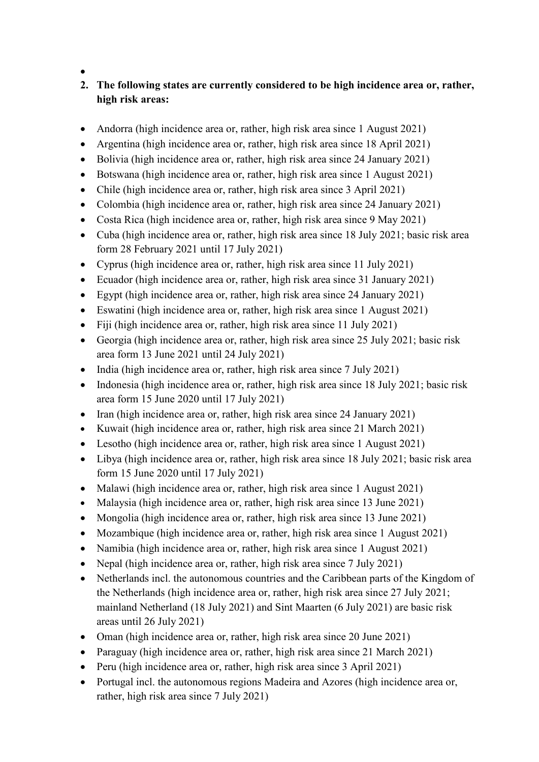•

## **2. The following states are currently considered to be high incidence area or, rather, high risk areas:**

- Andorra (high incidence area or, rather, high risk area since 1 August 2021)
- Argentina (high incidence area or, rather, high risk area since 18 April 2021)
- Bolivia (high incidence area or, rather, high risk area since 24 January 2021)
- Botswana (high incidence area or, rather, high risk area since 1 August 2021)
- Chile (high incidence area or, rather, high risk area since 3 April 2021)
- Colombia (high incidence area or, rather, high risk area since 24 January 2021)
- Costa Rica (high incidence area or, rather, high risk area since 9 May 2021)
- Cuba (high incidence area or, rather, high risk area since 18 July 2021; basic risk area form 28 February 2021 until 17 July 2021)
- Cyprus (high incidence area or, rather, high risk area since 11 July 2021)
- Ecuador (high incidence area or, rather, high risk area since 31 January 2021)
- Egypt (high incidence area or, rather, high risk area since 24 January 2021)
- Eswatini (high incidence area or, rather, high risk area since 1 August 2021)
- Fiji (high incidence area or, rather, high risk area since 11 July 2021)
- Georgia (high incidence area or, rather, high risk area since 25 July 2021; basic risk area form 13 June 2021 until 24 July 2021)
- India (high incidence area or, rather, high risk area since 7 July 2021)
- Indonesia (high incidence area or, rather, high risk area since 18 July 2021; basic risk area form 15 June 2020 until 17 July 2021)
- Iran (high incidence area or, rather, high risk area since 24 January 2021)
- Kuwait (high incidence area or, rather, high risk area since 21 March 2021)
- Lesotho (high incidence area or, rather, high risk area since 1 August 2021)
- Libya (high incidence area or, rather, high risk area since 18 July 2021; basic risk area form 15 June 2020 until 17 July 2021)
- Malawi (high incidence area or, rather, high risk area since 1 August 2021)
- Malaysia (high incidence area or, rather, high risk area since 13 June 2021)
- Mongolia (high incidence area or, rather, high risk area since 13 June 2021)
- Mozambique (high incidence area or, rather, high risk area since 1 August 2021)
- Namibia (high incidence area or, rather, high risk area since 1 August 2021)
- Nepal (high incidence area or, rather, high risk area since 7 July 2021)
- Netherlands incl. the autonomous countries and the Caribbean parts of the Kingdom of the Netherlands (high incidence area or, rather, high risk area since 27 July 2021; mainland Netherland (18 July 2021) and Sint Maarten (6 July 2021) are basic risk areas until 26 July 2021)
- Oman (high incidence area or, rather, high risk area since 20 June 2021)
- Paraguay (high incidence area or, rather, high risk area since 21 March 2021)
- Peru (high incidence area or, rather, high risk area since 3 April 2021)
- Portugal incl. the autonomous regions Madeira and Azores (high incidence area or, rather, high risk area since 7 July 2021)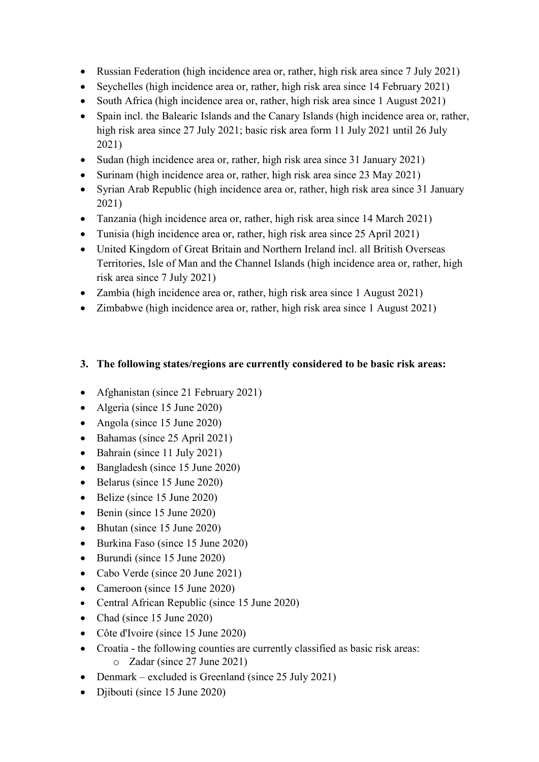- Russian Federation (high incidence area or, rather, high risk area since 7 July 2021)
- Seychelles (high incidence area or, rather, high risk area since 14 February 2021)
- South Africa (high incidence area or, rather, high risk area since 1 August 2021)
- Spain incl. the Balearic Islands and the Canary Islands (high incidence area or, rather, high risk area since 27 July 2021; basic risk area form 11 July 2021 until 26 July 2021)
- Sudan (high incidence area or, rather, high risk area since 31 January 2021)
- Surinam (high incidence area or, rather, high risk area since 23 May 2021)
- Syrian Arab Republic (high incidence area or, rather, high risk area since 31 January 2021)
- Tanzania (high incidence area or, rather, high risk area since 14 March 2021)
- Tunisia (high incidence area or, rather, high risk area since 25 April 2021)
- United Kingdom of Great Britain and Northern Ireland incl. all British Overseas Territories, Isle of Man and the Channel Islands (high incidence area or, rather, high risk area since 7 July 2021)
- Zambia (high incidence area or, rather, high risk area since 1 August 2021)
- Zimbabwe (high incidence area or, rather, high risk area since 1 August 2021)

## **3. The following states/regions are currently considered to be basic risk areas:**

- Afghanistan (since 21 February 2021)
- Algeria (since 15 June 2020)
- Angola (since 15 June 2020)
- Bahamas (since 25 April 2021)
- Bahrain (since 11 July 2021)
- Bangladesh (since 15 June 2020)
- Belarus (since 15 June 2020)
- Belize (since 15 June 2020)
- Benin (since 15 June 2020)
- Bhutan (since 15 June 2020)
- Burkina Faso (since 15 June 2020)
- Burundi (since 15 June 2020)
- Cabo Verde (since 20 June 2021)
- Cameroon (since 15 June 2020)
- Central African Republic (since 15 June 2020)
- Chad (since 15 June 2020)
- Côte d'Ivoire (since 15 June 2020)
- Croatia the following counties are currently classified as basic risk areas: o Zadar (since 27 June 2021)
- Denmark excluded is Greenland (since 25 July 2021)
- Djibouti (since 15 June 2020)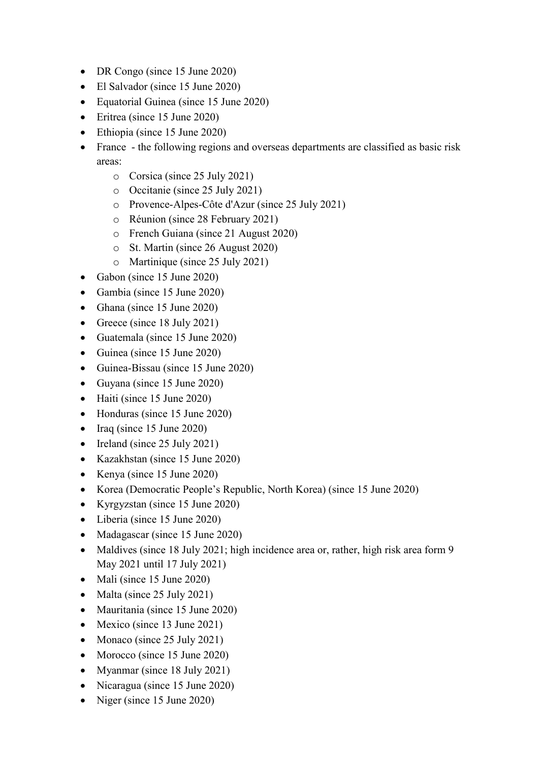- DR Congo (since 15 June 2020)
- El Salvador (since 15 June 2020)
- Equatorial Guinea (since 15 June 2020)
- Eritrea (since 15 June 2020)
- Ethiopia (since 15 June 2020)
- France the following regions and overseas departments are classified as basic risk areas:
	- o Corsica (since 25 July 2021)
	- o Occitanie (since 25 July 2021)
	- o Provence-Alpes-Côte d'Azur (since 25 July 2021)
	- o Réunion (since 28 February 2021)
	- o French Guiana (since 21 August 2020)
	- o St. Martin (since 26 August 2020)
	- o Martinique (since 25 July 2021)
- Gabon (since 15 June 2020)
- Gambia (since 15 June 2020)
- Ghana (since 15 June 2020)
- Greece (since 18 July 2021)
- Guatemala (since 15 June 2020)
- Guinea (since 15 June 2020)
- Guinea-Bissau (since 15 June 2020)
- Guyana (since 15 June 2020)
- Haiti (since 15 June 2020)
- Honduras (since 15 June 2020)
- Iraq (since 15 June 2020)
- Ireland (since 25 July 2021)
- Kazakhstan (since 15 June 2020)
- Kenya (since 15 June 2020)
- Korea (Democratic People's Republic, North Korea) (since 15 June 2020)
- Kyrgyzstan (since 15 June 2020)
- Liberia (since 15 June 2020)
- Madagascar (since 15 June 2020)
- Maldives (since 18 July 2021; high incidence area or, rather, high risk area form 9 May 2021 until 17 July 2021)
- Mali (since 15 June 2020)
- Malta (since 25 July 2021)
- Mauritania (since 15 June 2020)
- Mexico (since 13 June 2021)
- Monaco (since 25 July 2021)
- Morocco (since 15 June 2020)
- Myanmar (since 18 July 2021)
- Nicaragua (since 15 June 2020)
- Niger (since 15 June 2020)